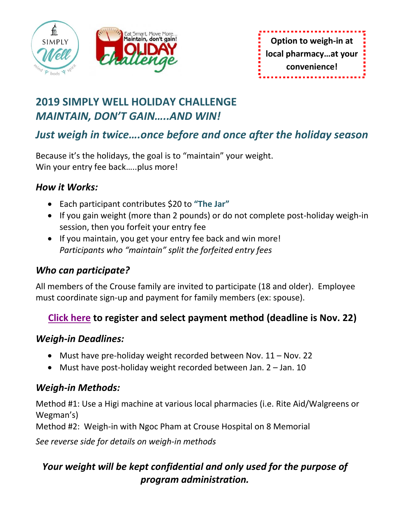



# **2019 SIMPLY WELL HOLIDAY CHALLENGE** *MAINTAIN, DON'T GAIN…..AND WIN!*

## *Just weigh in twice….once before and once after the holiday season*

Because it's the holidays, the goal is to "maintain" your weight. Win your entry fee back…..plus more!

### *How it Works:*

- Each participant contributes \$20 to **"The Jar"**
- If you gain weight (more than 2 pounds) or do not complete post-holiday weigh-in session, then you forfeit your entry fee
- If you maintain, you get your entry fee back and win more! *Participants who "maintain" split the forfeited entry fees*

### *Who can participate?*

All members of the Crouse family are invited to participate (18 and older). Employee must coordinate sign-up and payment for family members (ex: spouse).

## **[Click here](https://www.surveymonkey.com/r/CL6PKLD) to register and select payment method (deadline is Nov. 22)**

### *Weigh-in Deadlines:*

- Must have pre-holiday weight recorded between Nov. 11 Nov. 22
- Must have post-holiday weight recorded between Jan. 2 Jan. 10

## *Weigh-in Methods:*

Method #1: Use a Higi machine at various local pharmacies (i.e. Rite Aid/Walgreens or Wegman's)

Method #2: Weigh-in with Ngoc Pham at Crouse Hospital on 8 Memorial

*See reverse side for details on weigh-in methods*

## *Your weight will be kept confidential and only used for the purpose of program administration.*